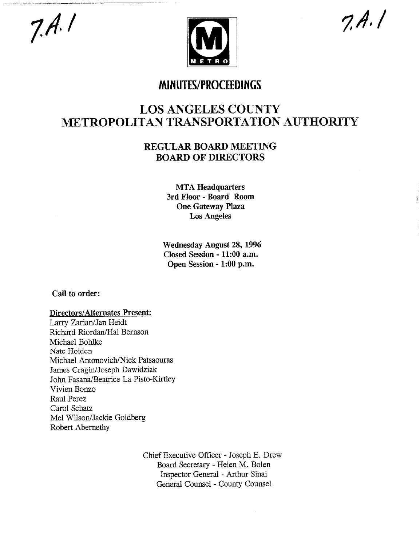# $7.4.1$



 $7.4.1$ 

## **MINUTES/PROCEEDINGS**

# **LOS ANGELES COUNTY METROPOLITAN TRANSPORTATION AUTHORITY**

### REGULAR BOARD **MEETING BOARD OF DIRECTORS**

MTA Headquarters 3rd Floor - Board Room One Gateway Plaza Los Angeles

Wednesday August 28, 1996 Closed Session - **11:00 a.m.** Open Session - **1:00 p.m.**

Call to order:

#### Directors/Alternates Present:

Larry Zarian/Jan Heidt Richard Riordan/Hal Bernson Michael Bohlke Nate Holden Michael Antonovich/Nick Patsaouras James Cragin/Joseph Dawidziak John Fasana/Beatrice La Pisto-Kirtley Vivien Bonzo Raul Perez Carol Schatz Mel Wilson/Jackie Goldberg Robert Abernethy

> Chief Executive Officer - Joseph E. Drew Board Secretary - Helen M. Bolen Inspector General - Arthur Sinai General Counsel - County Counsel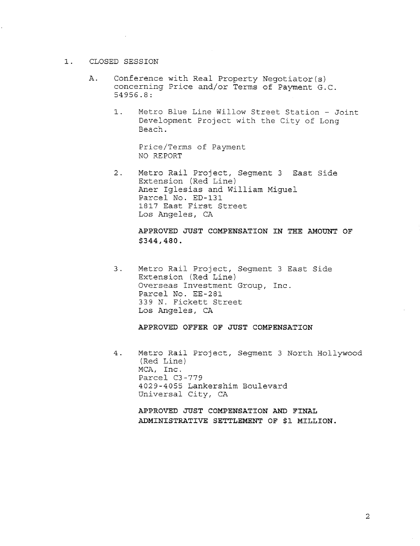#### I. CLOSED SESSION

- A. Conference with Real Property Negotiator(s) concerning Price and/or Terms of Payment G.C. 54956.8:
	- $1.$ Metro Blue Line Willow Street Station - Joint Development Project with the City of Long Beach.

Price/Terms of Payment NO REPORT

2. Metro Rail Project, Segment 3 East Side Extension (Red Line) Aner Iglesias and William Miguel Parcel No. ED-131 1817 East First Street Los Angeles, CA

> **APPROVED JUST COMPENSATION IN THE AMOUNT OF** \$344,480.

3. Metro Rail Project, Segment 3 East Side Extension (Red Line) Overseas Investment Group, Inc. Parcel No. EE-281 339 N. Fickett Street Los Angeles, CA

**APPROVED OFFER OF JUST COMPENSATION**

Metro Rail Project, Segment 3 North Hollywood  $4.$ (Red Line) MCA, Inc. Parcel C3-779 4029-4055 Lankershim Boulevard Universal City, CA

**APPROVED JUST COMPENSATION AND FINAL ADMINISTRATIVE SETTLEMENT OF \$i MILLION.**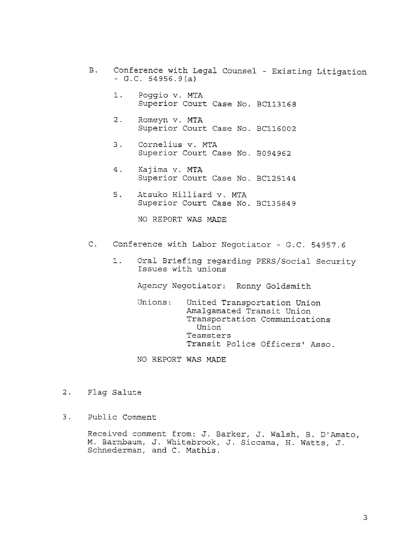- B. Conference with Legal Counsel Existing Litigatio  $-G.C. 54956.9 (a)$ 
	- $1.$ Poggio v. MTA Superior Court Case No. BC113168
	- 2. Romeyn v. MTA Superior Court Case No. BCI16002
	- 3. Cornelius v. MTA Superior Court Case No. B094962
	- Kajima v. MTA 4. Superior Court Case No. BC125144
	- 5. Atsuko Hilliard v. MTA Superior Court Case No. BC135849

NO REPORT WAS MADE

- C. Conference with Labor Negotiator G.C. 54957.6
	- !. 0ral Briefing regarding PERS/Social Security Issues with unions

Agency Negotiator: Ronny Goldsmith

- Unions: United Transportation Union Amalgamated Transit Union Transportation Communications Union Teamsters Transit Police Officers' Asso.
- NO REPORT WAS MADE
- 2. Flag Salute
- $3<sup>1</sup>$ Public Comment

Received comment from: J. Barker, J. Walsh, B. D'Amato, M. Barnbaum, J. Whitebrook, J. Siccama, H. Watts, J. Schnederman, and C. Mathis.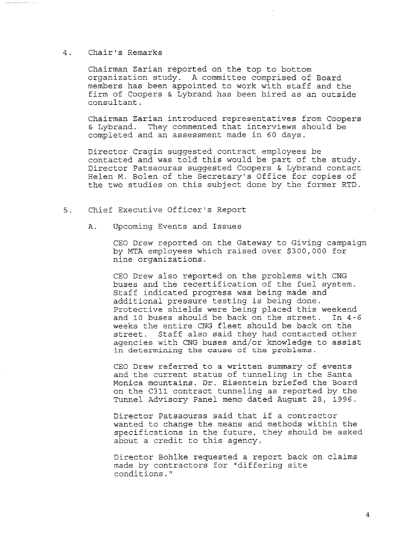#### 4. Chair's Remarks

Chairman Zarian reported on the top to bottom organization study. A committee comprised of Board members has been appointed to work with staff and the firm of Coopers & Lybrand has been hired as an outside consultant.

Chairman Zarian introduced representatives from Coopers & Lybrand. They commented that interviews should be completed and an assessment made in 60 days.

Director Cragin suggested contract employees be contacted and was told this would be part of the study. Director Patsaouras suggested Coopers & Lybrand contact Helen M. Bolen of the Secretary's Office for copies of the two studies on this subject done by the former RTD.

- 5. Chief Executive Officer's Report
	- A. Upcoming Events and Issues

CEO Drew reported on the Gateway to Giving campaign by MTA employees which raised over \$300,000 for nine organizations.

CEO Drew also reported on the problems with CNG buses and the recertification of the fuel system. Staff indicated progress was being made and additional pressure testing is being done. Protective shields were being placed this weekend and i0 buses should be back on the street. In 4-6 weeks the entire CNG fleet should be back on the street. Staff also said they had contacted other agencies with CNG buses and/or knowledge to assist in determining the cause of the problems.

CEO Drew referred to a written summary of events and the current status of tunneling in the Santa Monica mountains. Dr. Eisentein briefed the Board on the C311 contract tunneling as reported by the Tunnel Advisory Panel memo dated August 28, 1996.

Director Patsaouras said that if a contractor wanted to change the means and methods within the specifications in the future, they should be asked about a credit to this agency.

Director Bohlke requested a report back on claims made by contractors for "differing site conditions."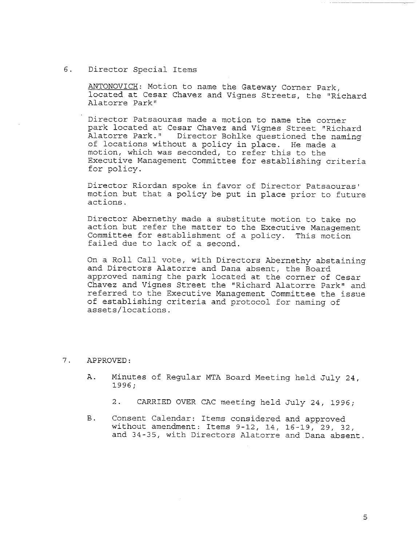#### 6. Director Special Items

**ANTONOVICH:** Motion to name the Gateway Corner Park, located at Cesar Chavez and Vignes Streets, the "Richard Alatorre Park"

Director Patsaouras made a motion to name the corner park located at Cesar Chavez and Vignes Street "Richard Alatorre Park." Director Bohlke questioned the naming of locations without a policy in place. He made a motion, which was seconded, to refer this to the Executive Management Committee for establishing criteria for policy.

Director Riordan spoke in favor of Director Patsaouras' motion but that a policy be put in place prior to future actions.

Director Abernethy made a substitute motion to take no action but refer the matter to the Executive Management Committee for establishment of a policy. This motion failed due to lack of a second.

On a Roll Call vote, with Directors Abernethy abstaining and Directors Alatorre and Dana absent, the Board approved naming the park located at the corner of Cesar Chavez and Vignes Street the "Richard Alatorre Park" and referred to the Executive Management Committee the issue of establishing criteria and protocol for naming of assets/locations.

#### 7. APPROVED:

- A. Minutes of Regular MTA Board Meeting held July 24, 1996;
	- 2. CARRIED OVER CAC meeting held July 24, 1996;
- **B**. Consent Calendar: Items considered and approved without amendment: Items 9-12, 14, 16-19, 29, 32, and 34-35, with Directors Alatorre and Dana absent.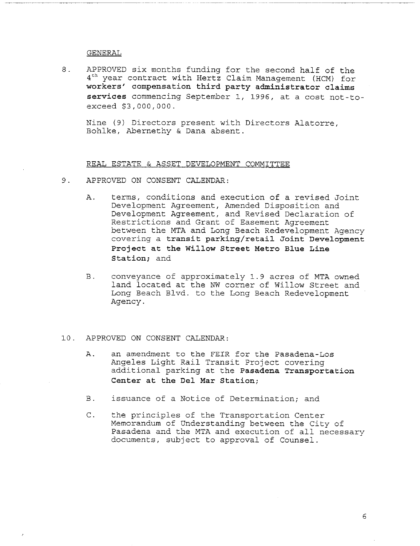#### GENERAL

8. APPROVED six months funding for the second half of the 4<sup>th</sup> year contract with Hertz Claim Management (HCM) for workers' compensation third party administrator claims services commencing September 1, 1996, at a cost not-toexceed \$3,000,000.

Nine (9) Directors present with Directors Alatorre, Bohlke, Abernethy & Dana absent.

#### REAL ESTATE & ASSET DEVELOPMENT COMMITTEE

- 9. APPROVED ON CONSENT CALENDAR:
	- Α. terms, conditions and execution of a revised Joint Development Agreement, Amended Disposition and Development Agreement, and Revised Declaration of Restrictions and Grant of Easement Agreement between the MTA and Long Beach Redevelopment Agency covering a **transit parking/retail Joint Development Project at the Willow Street Metro Blue Line Station;** and
	- $B.$ conveyance of approximately 1.9 acres of MTA owned land located at the NW corner of Willow Street and Long Beach Blvd. to the Long Beach Redevelopment Agency.

#### I0. APPROVED ON CONSENT CALENDAR:

- A. an amendment to the FEIR for the Pasadena-Los Angeles Light Rail Transit Project covering additional parking at the **Pasadena Transportation Center at the Del Mar Station;**
- B. issuance of a Notice of Determination; and
- C. the principles of the Transportation Center Memorandum of Understanding between the City of Pasadena and the MTA and execution of all necessary documents, subject to approval of Counsel.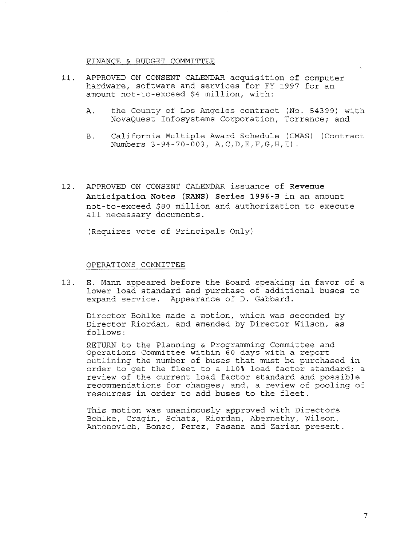#### FINANCE & BUDGET COMMITTEE

- 11. APPROVED ON CONSENT CALENDAR acquisition of compute hardware, software and services for FY 1997 for an amount not-to-exceed \$4 million, with:
	- A. the County of Los Angeles contract (No. 54399) with NovaQuest Infosystems Corporation, Torrance; and
	- B. California Multiple Award Schedule (CMAS) (Contract Numbers 3-94-70-003, A,C,D,E,F,G,H,I)
- 12. APPROVED ON CONSENT CALENDAR issuance of Revenue **Anticipation Notes (RANS) Series 1996-B** in an amount not-to-exceed \$80 million and authorization to execute all necessary documents.

(Requires vote of Principals Only)

#### OPERATIONS COMMITTEE

13. E. Mann appeared before the Board speaking in favor of a lower load standard and purchase of additional buses to expand service. Appearance of D. Gabbard.

Director Bohlke made a motion, which was seconded by Director Riordan, and amended by Director Wilson, as follows:

RETURN to the Planning & Programming Committee and Operations Committee within 60 days with a report outlining the number of buses that must be purchased in order to get the fleet to a 110% load factor standard; a review of the current load factor standard and possible recommendations for changes; and, a review of pooling of resources in order to add buses to the fleet.

This motion was unanimously approved with Directors Bohlke, Cragin, Schatz, Riordan, Abernethy, Wilson, Antonovich, Bonzo, Perez, Fasana and Zarian present.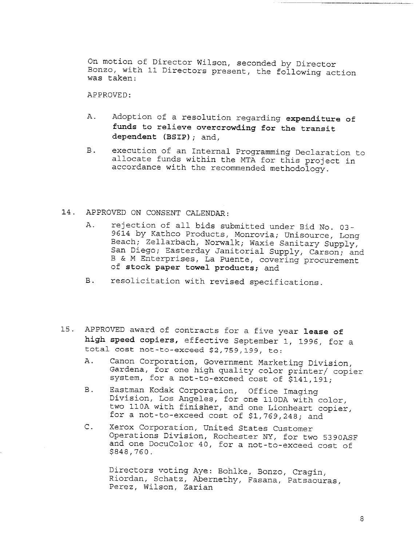On motion of Director Wilson, seconded by Director Bonzo, with ii Directors present, the following action was taken:

APPROVED:

- Adoption of a resolution regarding expenditure of A. funds to relieve overcrowding for the transit dependent (BSIP); and,
- $B.$ execution of an Internal Programming Declaration to allocate funds within the MTA for this project in accordance with the recommended methodology.

#### 14. APPROVED ON CONSENT CALENDAR:

- A. rejection of all bids submitted under Bid No. 03- 9614 by Kathco Products, Monrovia; Unisource, Long Beach; Zellarbach, Norwalk; Waxie Sanitary Supply, San Diego; Easterday Janitorial Supply, Carson; and B & M Enterprises, La Puente, covering procurement of stock paper towel products; and
- B. resolicitation with revised specifications.
- 15. APPROVED award of contracts for a five year lease of high speed copiers, effective September i, 1996, for a total cost not-to-exceed \$2,759,199, to:
	- A. Canon Corporation, Government Marketing Division, Gardena, for one high quality color printer/ copier system, for a not-to-exceed cost of \$141,191;
	- B. Eastman Kodak Corporation, Office Imaging Division, Los Angeles, for one 110DA with color, two IIOA with finisher, and one Lionheart copier, for a not-to-exceed cost of \$1,769,248; and
	- C. Xerox Corporation, United States Customer Operations Division, Rochester NY, for two 5390ASF and one DocuColor 40, for a not-to-exceed cost of \$848,760.

Directors voting Aye: Bohlke, Bonzo, Cragin, Riordan, Schatz, Abernethy, Fasana, Patsaouras, Perez, Wilson, Zarian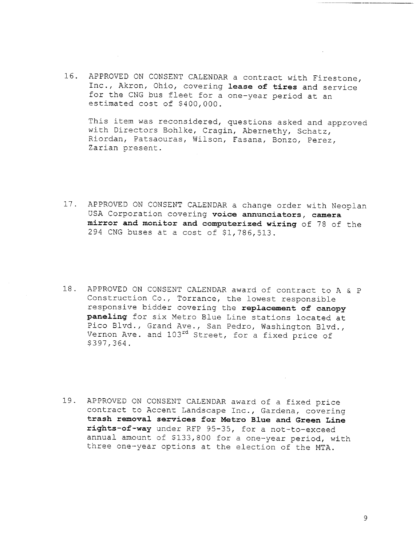16. APPROVED ON CONSENT CALENDAR a contract with Firestone, Inc., Akron, Ohio, covering **lease of tires** and service for the CNG bus fleet for a one-year period at an estimated cost of \$400,000.

This item was reconsidered, questions asked and approved with Directors Bohlke, Cragin, Abernethy, Schatz, Riordan, Patsaouras, Wilson, Fasana, Bonzo, Perez, Zarian present.

- 17. APPROVED ON CONSENT CALENDAR a change order with Neoplan USA Corporation covering voice annunciators, camera **mirror and monitor and computerized wiring of** 78 of the 294 CNG buses at a cost of \$1,786,513.
- 18. APPROVED ON CONSENT CALENDAR award of contract to A & P Construction Co., Torrance, the lowest responsible responsive bidder covering the **replacement of canopy paneling** for six Metro Blue Line stations located at Pico Blvd., Grand Ave., San Pedro, Washington Blvd., Vernon Ave. and 103<sup>rd</sup> Street, for a fixed price of \$397,364.
- 19. APPROVED ON CONSENT CALENDAR award of a fixed price contract to Accen< Landscape Inc., Gardena, covering trash removal services for Metro Blue and Green Line **rights-of-way** under RFP 95-35, for a not-to-exceed annual amount of \$133,800 for a one-year period, with three one-year options at the election of the MTA.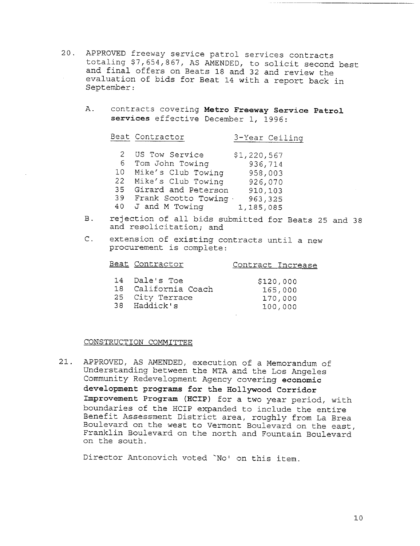- 20. APPROVED freeway service patrol services contracts totaling \$7,654,867, AS AMENDED, to solicit second best and final offers on Beats 18 and 32 and review the evaluation of bids for Beat 14 with a report back in September:
	- A. contracts covering **Metro Ereeway Service Patrol** services effective December 1, 1996:

|    | Beat Contractor        | 3-Year Ceiling |
|----|------------------------|----------------|
|    | 2 US Tow Service       | \$1,220,567    |
|    | 6 Tom John Towing      | 936,714        |
|    | 10 Mike's Club Towing  | 958,003        |
| 22 | Mike's Club Towing     | 926,070        |
|    | 35 Girard and Peterson | 910,103        |
|    | 39 Frank Scotto Towing | 963,325        |

- 40 J and M Towir 1,185 085
- **B**. rejection of all bids submitted for Beats 25 and 38 and resolicitation; and
- $\mathsf{C}$ . extension of existing contracts until a new procurement is complete:

#### Beat Contractor Contract Increase

| 14 Dale's Toe       | \$120,000 |
|---------------------|-----------|
| 18 California Coach | 165,000   |
| 25 City Terrace     | 170,000   |
| 38 Haddick's        | 100,000   |

#### CONSTRUCTION COMMITTEE

21. APPROVED, AS AMENDED, execution of a Memorandum of Understanding between the MTA and the Los Angeles Community Redevelopment Agency covering **economic development programs for the Hollywood Corridor Improvement** Program (HCIP) for a two year period, with boundaries of the HCIP expanded to include the entire Benefit Assessment District area, roughly from La Brea Boulevard on the west to Vermont Boulevard on the east, Franklin Boulevard on the north and Fountain Boulevard on the south.

Director Antonovich voted "No' on this item.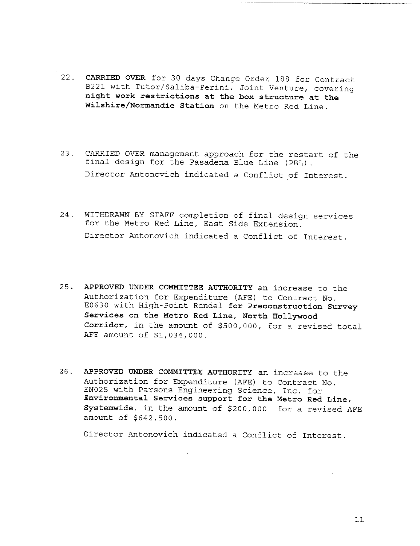- 22. CARRIED OVER for 30 days Change Order 188 for Contract B221 with Tutor/Saliba-Perini, Joint Venture, covering **night work restrictions at the box structure at the** Wilshire/Normandie Station on the Metro Red Line.
- 23. CARRIED OVER management approach for the restart of the final design for the Pasadena Blue Line (PBL) Director Antonovich indicated a Conflict of Interest.
- 24. WITHDRAWN BY STAFF completion of final design services for the Metro Red Line, East Side Extension. Director Antonovich indicated a Conflict of Interest.
- 25. APPROVED UNDER COMMITTEE AUTHORITY an increase to the Authorization for Expenditure (AFE) to Contract No. E0630 with High-Point Rendel **for Preconstruction** Survey **Services on the Metro Red Line, North Hollywood Corridor,** in the amount of \$500,000, for a revised total AEE amount of \$1,034,000.
- 26. APPROVED UNDER COMMITTEE AUTHORITY an increase to the Authorization for Expenditure (AFE) to Contract No. EN025 with Parsons Engineering Science, Inc. for **Environmental** Services support **for the Metro Red Line, Systemwide,** in the amount of \$200,000 for a revised AFE amount of \$642,500.

Director Antonovich indicated a Conflict of Interest.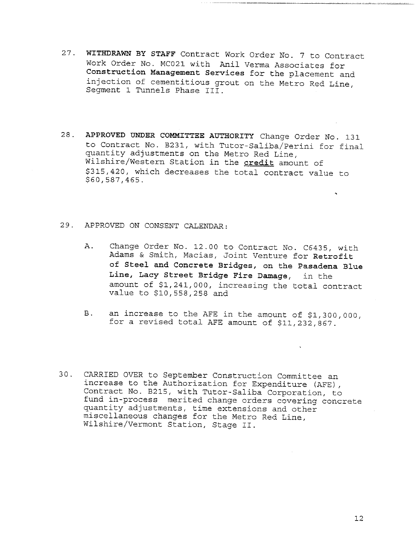- 27. WITHDRAWN BY STAFF Contract Work Order No. 7 to Contract Work Order No. MC021 with Anil Verma Associates for **Construction Management Services** for the placement and injection of cementitious grout on the Metro Red Line, Segment 1 Tunnels Phase III.
- 28. **APPROVED UNDER COMMITTEE AUTHORITY** Change Order No. 131 to Contract No. B231, with Tutor-Sa!iba/Perini for final quantity adjustments on the Metro Red Line, Wilshire/Western Station in the credit amount of \$315,420, which decreases the total contract value to \$60,587,465.
- 29. APPROVED ON CONSENT CALENDAR:
	- A. Change Order No. 12.00 to Contract No. C6435, with Adams & Smith, Macias, Joint Venture for **Retrofit of Steel and Concrete Bridges, on the Pasadena Blue Line, Lacy Street Bridge Fire Damage,** in the amount of \$1,241,000, increasing the total contract value to \$10,558,258 and
	- an increase to the AFE in the amount of \$1,300,000, **B**. for a revised total AFE amount of \$11,232,867.
- 30. CARRIED OVER to September Construction Committee an increase to the Authorization for Expenditure (AFE), Contract No. B215, with Tutor-Saliba Corporation, to fund in-process merited change orders covering concrete quantity adjustments, time extensions and other miscellaneous changes for the Metro Red Line, Wilshire/Vermont Station, Stage II.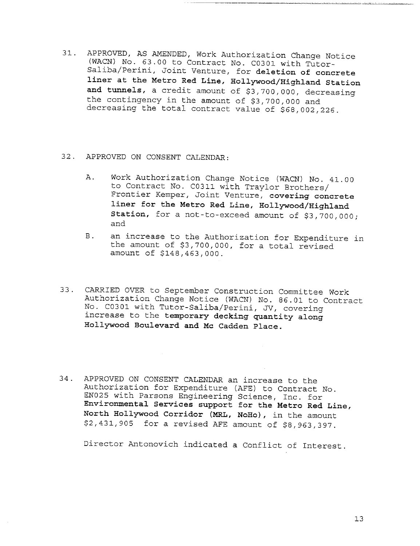- 31. APPROVED, AS AMENDED, Work Authorization Change Notice (WACN) No. 63.00 to Contract No. C0301 with Tutor-Saliba/Perini, Joint Venture, for deletion of **concrete liner at the Metro** Red Line, Hollywood/Highland Station **and** tunnels, a credit amount of \$3,700,000, decreasing the contingency in the amount of \$3,700,000 and decreasing the total contract value of \$68,002,226.
- 32. APPROVED ON CONSENT CALENDAR:
	- A. Work Authorization Change Notice (WACN) No. 41.00 to Contract No. C0311 with Traylor Brothers/ Frontier Kemper, Joint Venture, **covering concrete** liner for the Metro Red Line, Hollywood/Highland Station, for a not-to-exceed amount of \$3,700,000; and
	- **B**. an increase to the Authorization for Expenditure in the amount of \$3,700,000, for a total revised amount of \$148,463,000.
- 33. CARRIED OVER to September Construction Committee Work Authorization Change Notice (WACN) No. 86.01 to Contract No. C0301 with Tutor-Saliba/Perini, JV, covering increase to the temporary decking quantity **along Hollywood Boulevard and Mc Cadden Place.**
- 34° APPROVED ON CONSENT CALENDAR an increase to the Authorization for Expenditure (AFE) to Contract No. EN025 with Parsons Engineering Science, Inc. for **Environmental** Services support **for the Metro** Red Line, **North Hollywood Corridor** (MRL, NoHo), in the amount \$2,431,905 for a revised AFE amount of \$8,963,397.

Director Antonovich indicated a Conflict of Interest.